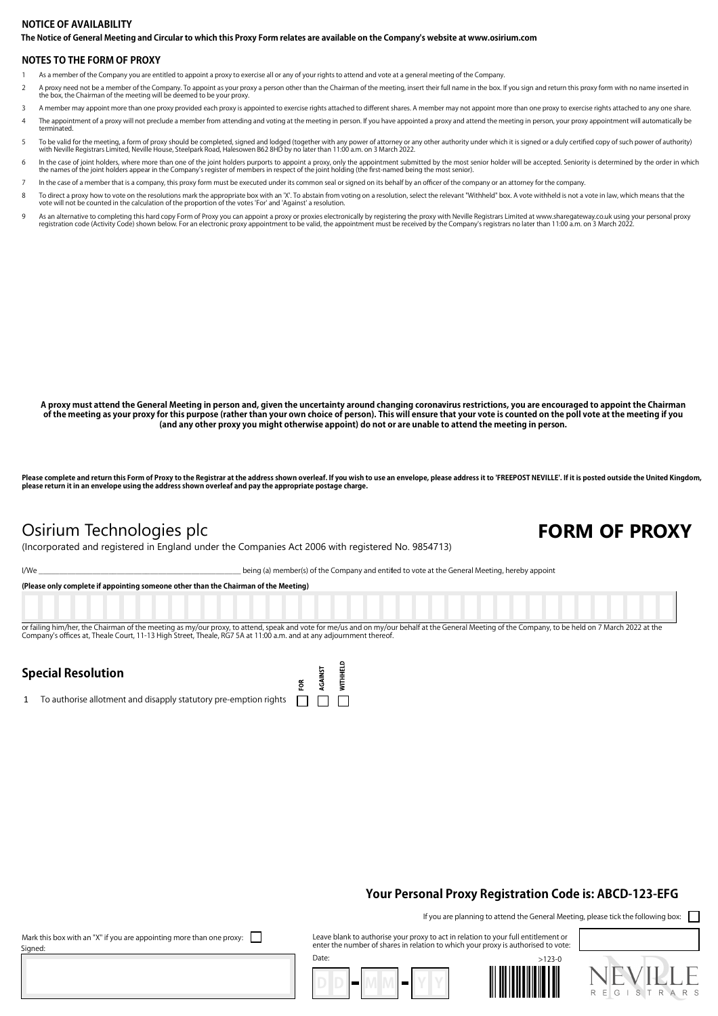#### **The Notice of General Meeting and Circular to which this Proxy Form relates are available on the Company's website at www.osirium.com NOTICE OF AVAILABILITY**

#### **NOTES TO THE FORM OF PROXY**

- 1 As a member of the Company you are entitled to appoint a proxy to exercise all or any of your rights to attend and vote at a general meeting of the Company.
- A proxy need not be a member of the Company. To appoint as your proxy a person other than the Chairman of the meeting, insert their full name in the box. If you sign and return this proxy form with no name inserted in<br>the
- 3 A member may appoint more than one proxy provided each proxy is appointed to exercise rights attached to different shares. A member may not appoint more than one proxy to exercise rights attached to any one share.
- 4 The appointment of a proxy will not preclude a member from attending and voting at the meeting in person. If you have appointed a proxy and attend the meeting in person, your proxy appointment will automatically be terminated.
- To be valid for the meeting, a form of proxy should be completed, signed and lodged (together with any power of attorney or any other authority under which it is signed or a duly certified copy of such power of authority)<br>
- h the case of joint holders, where more than one of the joint holders purports to appoint a proxy, only the appointment submitted by the most senior holder will be accepted. Seniority is determined by the order in which th
- In the case of a member that is a company, this proxy form must be executed under its common seal or signed on its behalf by an officer of the company or an attorney for the company.
- 70 To direct a proxy how to vote on the resolutions mark the appropriate box with an 'X'. To abstain from voting on a resolution, select the relevant "Withheld" box. A vote withheld is not a vote in law, which means that t
- As an alternative to completing this hard copy Form of Proxy you can appoint a proxy or proxies electronically by registering the proxy with Neville Registrars Limited at www.sharegateway.co.uk using your personal proxy or

**A proxy must attend the General Meeting in person and, given the uncertainty around changing coronavirus restrictions, you are encouraged to appoint the Chairman**  of the meeting as your proxy for this purpose (rather than your own choice of person). This will ensure that your vote is counted on the poll vote at the meeting if you<br>(and any other proxy you might otherwise appoint) do

Please complete and return this Form of Proxy to the Registrar at the address shown overleaf. If you wish to use an envelope, please address it to 'FREEPOST NEVILLE'. If it is posted outside the United Kingdom, **please return it in an envelope using the address shown overleaf and pay the appropriate postage charge.**

## Osirium Technologies plc **FORM OF PROXY**

(Incorporated and registered in England under the Companies Act 2006 with registered No. 9854713)

I/We state of the Company and entitled to vote at the General Meeting, hereby appoint

**(Please only complete if appointing someone other than the Chairman of the Meeting)** or failing him/her, the Chairman of the meeting as my/our proxy, to attend, speak and vote for me/us and on my/our behalf at the General Meeting of the Company, to be held on 7 March 2022 at the Company's offices at, Theale Court, 11-13 High Street, Theale, RG7 5A at 11:00 a.m. and at any adjournment there

> **WITHHELD** AGAINST ទ្ថ

## **Special Resolution**

1 To authorise allotment and disapply statutory pre-emption rights  $\Box$ 

### **Your Personal Proxy Registration Code is: ABCD-123-EFG**

If you are planning to attend the General Meeting, please tick the following box:

Leave blank to authorise your proxy to act in relation to your full entitlement or enter the number of shares in relation to which your proxy is authorised to vote:







Mark this box with an "X" if you are appointing more than one proxy:  $\Box$ Signed:

Date: